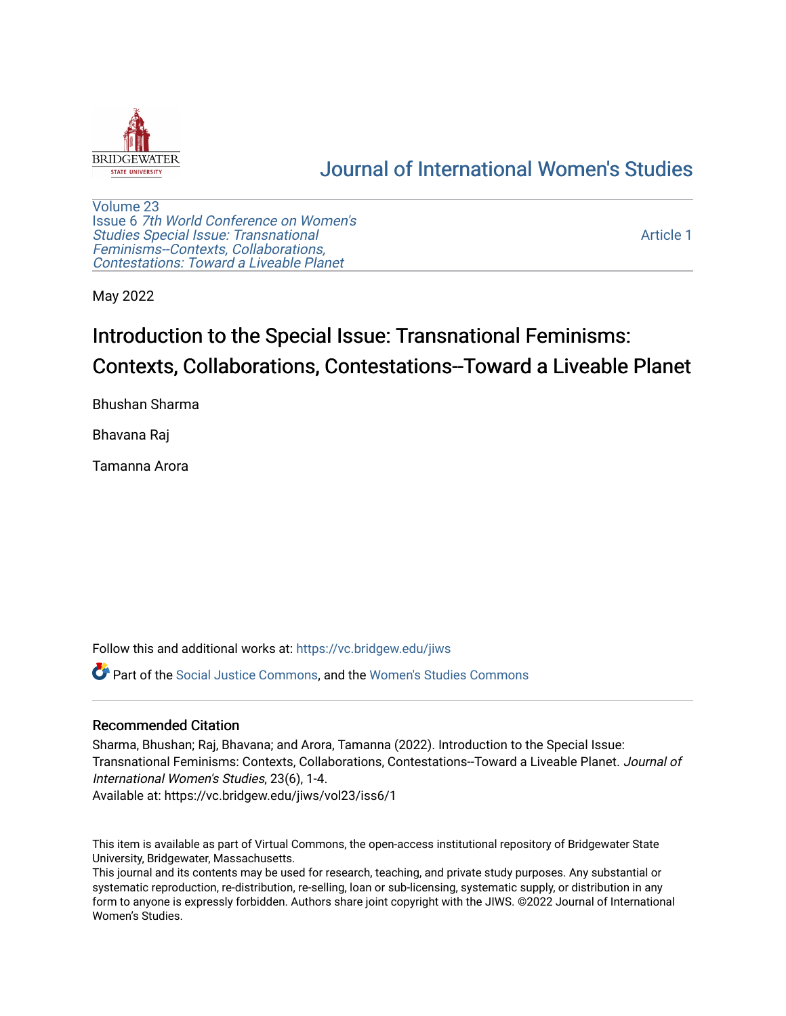

## [Journal of International Women's Studies](https://vc.bridgew.edu/jiws)

[Volume 23](https://vc.bridgew.edu/jiws/vol23) Issue 6 [7th World Conference on Women's](https://vc.bridgew.edu/jiws/vol23/iss6)  [Studies Special Issue: Transnational](https://vc.bridgew.edu/jiws/vol23/iss6)  [Feminisms--Contexts, Collaborations,](https://vc.bridgew.edu/jiws/vol23/iss6)  [Contestations: Toward a Liveable Planet](https://vc.bridgew.edu/jiws/vol23/iss6) 

[Article 1](https://vc.bridgew.edu/jiws/vol23/iss6/1) 

May 2022

# Introduction to the Special Issue: Transnational Feminisms: Contexts, Collaborations, Contestations--Toward a Liveable Planet

Bhushan Sharma

Bhavana Raj

Tamanna Arora

Follow this and additional works at: [https://vc.bridgew.edu/jiws](https://vc.bridgew.edu/jiws?utm_source=vc.bridgew.edu%2Fjiws%2Fvol23%2Fiss6%2F1&utm_medium=PDF&utm_campaign=PDFCoverPages)

Part of the [Social Justice Commons,](http://network.bepress.com/hgg/discipline/1432?utm_source=vc.bridgew.edu%2Fjiws%2Fvol23%2Fiss6%2F1&utm_medium=PDF&utm_campaign=PDFCoverPages) and the [Women's Studies Commons](http://network.bepress.com/hgg/discipline/561?utm_source=vc.bridgew.edu%2Fjiws%2Fvol23%2Fiss6%2F1&utm_medium=PDF&utm_campaign=PDFCoverPages)

#### Recommended Citation

Sharma, Bhushan; Raj, Bhavana; and Arora, Tamanna (2022). Introduction to the Special Issue: Transnational Feminisms: Contexts, Collaborations, Contestations--Toward a Liveable Planet. Journal of International Women's Studies, 23(6), 1-4.

Available at: https://vc.bridgew.edu/jiws/vol23/iss6/1

This item is available as part of Virtual Commons, the open-access institutional repository of Bridgewater State University, Bridgewater, Massachusetts.

This journal and its contents may be used for research, teaching, and private study purposes. Any substantial or systematic reproduction, re-distribution, re-selling, loan or sub-licensing, systematic supply, or distribution in any form to anyone is expressly forbidden. Authors share joint copyright with the JIWS. ©2022 Journal of International Women's Studies.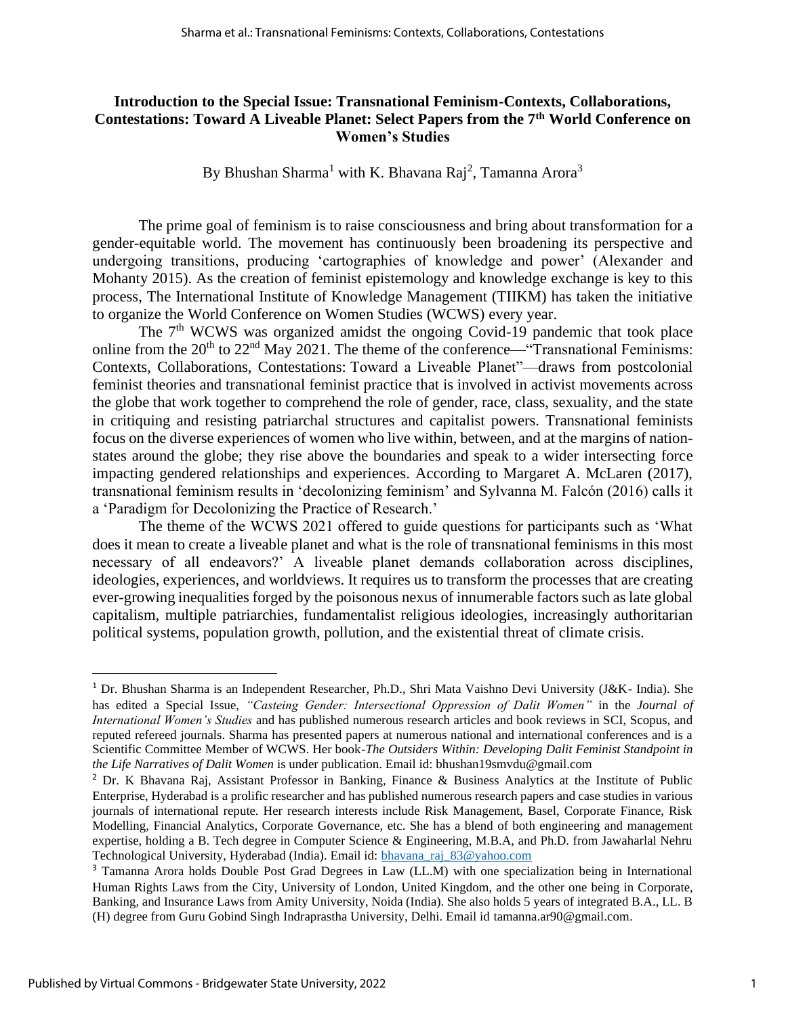#### **Introduction to the Special Issue: Transnational Feminism-Contexts, Collaborations, Contestations: Toward A Liveable Planet: Select Papers from the 7th World Conference on Women's Studies**

By Bhushan Sharma<sup>1</sup> with K. Bhavana Raj<sup>2</sup>, Tamanna Arora<sup>3</sup>

The prime goal of feminism is to raise consciousness and bring about transformation for a gender-equitable world. The movement has continuously been broadening its perspective and undergoing transitions, producing 'cartographies of knowledge and power' (Alexander and Mohanty 2015). As the creation of feminist epistemology and knowledge exchange is key to this process, The International Institute of Knowledge Management (TIIKM) has taken the initiative to organize the World Conference on Women Studies (WCWS) every year.

The 7<sup>th</sup> WCWS was organized amidst the ongoing Covid-19 pandemic that took place online from the  $20<sup>th</sup>$  to  $22<sup>nd</sup>$  May 2021. The theme of the conference—"Transnational Feminisms: Contexts, Collaborations, Contestations: Toward a Liveable Planet"—draws from postcolonial feminist theories and transnational feminist practice that is involved in activist movements across the globe that work together to comprehend the role of gender, race, class, sexuality, and the state in critiquing and resisting patriarchal structures and capitalist powers. Transnational feminists focus on the diverse experiences of women who live within, between, and at the margins of nationstates around the globe; they rise above the boundaries and speak to a wider intersecting force impacting gendered relationships and experiences. According to Margaret A. McLaren (2017), transnational feminism results in 'decolonizing feminism' and Sylvanna M. Falcón (2016) calls it a 'Paradigm for Decolonizing the Practice of Research.'

The theme of the WCWS 2021 offered to guide questions for participants such as 'What does it mean to create a liveable planet and what is the role of transnational feminisms in this most necessary of all endeavors?' A liveable planet demands collaboration across disciplines, ideologies, experiences, and worldviews. It requires us to transform the processes that are creating ever-growing inequalities forged by the poisonous nexus of innumerable factors such as late global capitalism, multiple patriarchies, fundamentalist religious ideologies, increasingly authoritarian political systems, population growth, pollution, and the existential threat of climate crisis.

<sup>1</sup> Dr. Bhushan Sharma is an Independent Researcher, Ph.D., Shri Mata Vaishno Devi University (J&K- India). She has edited a Special Issue, *"Casteing Gender: Intersectional Oppression of Dalit Women"* in the *Journal of International Women's Studies* and has published numerous research articles and book reviews in SCI, Scopus, and reputed refereed journals. Sharma has presented papers at numerous national and international conferences and is a Scientific Committee Member of WCWS. Her book-*The Outsiders Within: Developing Dalit Feminist Standpoint in the Life Narratives of Dalit Women* is under publication. Email id: bhushan19smvdu@gmail.com

<sup>&</sup>lt;sup>2</sup> Dr. K Bhavana Raj, Assistant Professor in Banking, Finance & Business Analytics at the Institute of Public Enterprise, Hyderabad is a prolific researcher and has published numerous research papers and case studies in various journals of international repute. Her research interests include Risk Management, Basel, Corporate Finance, Risk Modelling, Financial Analytics, Corporate Governance, etc. She has a blend of both engineering and management expertise, holding a B. Tech degree in Computer Science & Engineering, M.B.A, and Ph.D. from Jawaharlal Nehru Technological University, Hyderabad (India). Email id: [bhavana\\_raj\\_83@yahoo.com](mailto:bhavana_raj_83@yahoo.com)

<sup>3</sup> Tamanna Arora holds Double Post Grad Degrees in Law (LL.M) with one specialization being in International Human Rights Laws from the City, University of London, United Kingdom, and the other one being in Corporate, Banking, and Insurance Laws from Amity University, Noida (India). She also holds 5 years of integrated B.A., LL. B (H) degree from Guru Gobind Singh Indraprastha University, Delhi. Email id [tamanna.ar90@gmail.com.](mailto:tamanna.ar90@gmail.com)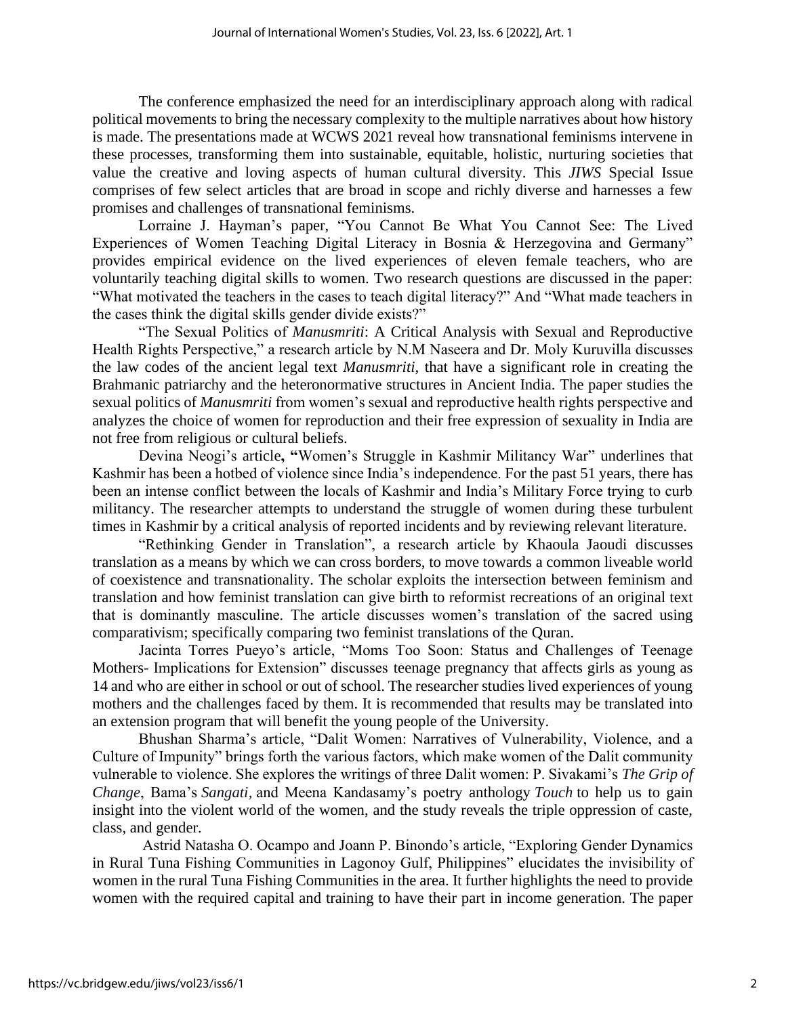The conference emphasized the need for an interdisciplinary approach along with radical political movements to bring the necessary complexity to the multiple narratives about how history is made. The presentations made at WCWS 2021 reveal how transnational feminisms intervene in these processes, transforming them into sustainable, equitable, holistic, nurturing societies that value the creative and loving aspects of human cultural diversity. This *JIWS* Special Issue comprises of few select articles that are broad in scope and richly diverse and harnesses a few promises and challenges of transnational feminisms.

Lorraine J. Hayman's paper, "You Cannot Be What You Cannot See: The Lived Experiences of Women Teaching Digital Literacy in Bosnia & Herzegovina and Germany" provides empirical evidence on the lived experiences of eleven female teachers, who are voluntarily teaching digital skills to women. Two research questions are discussed in the paper: "What motivated the teachers in the cases to teach digital literacy?" And "What made teachers in the cases think the digital skills gender divide exists?"

"The Sexual Politics of *Manusmriti*: A Critical Analysis with Sexual and Reproductive Health Rights Perspective," a research article by N.M Naseera and Dr. Moly Kuruvilla discusses the law codes of the ancient legal text *Manusmriti,* that have a significant role in creating the Brahmanic patriarchy and the heteronormative structures in Ancient India. The paper studies the sexual politics of *Manusmriti* from women's sexual and reproductive health rights perspective and analyzes the choice of women for reproduction and their free expression of sexuality in India are not free from religious or cultural beliefs.

Devina Neogi's article**, "**Women's Struggle in Kashmir Militancy War" underlines that Kashmir has been a hotbed of violence since India's independence. For the past 51 years, there has been an intense conflict between the locals of Kashmir and India's Military Force trying to curb militancy. The researcher attempts to understand the struggle of women during these turbulent times in Kashmir by a critical analysis of reported incidents and by reviewing relevant literature.

"Rethinking Gender in Translation", a research article by Khaoula Jaoudi discusses translation as a means by which we can cross borders, to move towards a common liveable world of coexistence and transnationality. The scholar exploits the intersection between feminism and translation and how feminist translation can give birth to reformist recreations of an original text that is dominantly masculine. The article discusses women's translation of the sacred using comparativism; specifically comparing two feminist translations of the Quran.

Jacinta Torres Pueyo's article, "Moms Too Soon: Status and Challenges of Teenage Mothers- Implications for Extension" discusses teenage pregnancy that affects girls as young as 14 and who are either in school or out of school. The researcher studies lived experiences of young mothers and the challenges faced by them. It is recommended that results may be translated into an extension program that will benefit the young people of the University.

Bhushan Sharma's article, "Dalit Women: Narratives of Vulnerability, Violence, and a Culture of Impunity" brings forth the various factors, which make women of the Dalit community vulnerable to violence. She explores the writings of three Dalit women: P. Sivakami's *The Grip of Change*, Bama's *Sangati,* and Meena Kandasamy's poetry anthology *Touch* to help us to gain insight into the violent world of the women, and the study reveals the triple oppression of caste, class, and gender.

Astrid Natasha O. Ocampo and Joann P. Binondo's article, "Exploring Gender Dynamics in Rural Tuna Fishing Communities in Lagonoy Gulf, Philippines" elucidates the invisibility of women in the rural Tuna Fishing Communities in the area. It further highlights the need to provide women with the required capital and training to have their part in income generation. The paper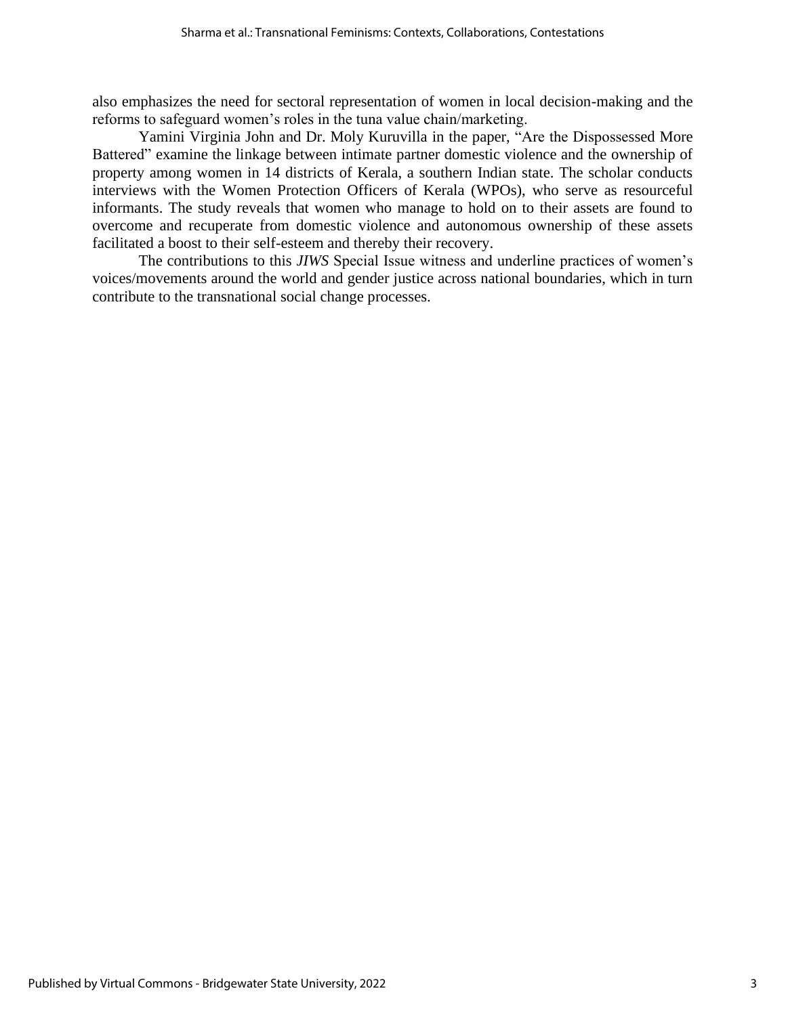also emphasizes the need for sectoral representation of women in local decision-making and the reforms to safeguard women's roles in the tuna value chain/marketing.

Yamini Virginia John and Dr. Moly Kuruvilla in the paper, "Are the Dispossessed More Battered" examine the linkage between intimate partner domestic violence and the ownership of property among women in 14 districts of Kerala, a southern Indian state. The scholar conducts interviews with the Women Protection Officers of Kerala (WPOs), who serve as resourceful informants. The study reveals that women who manage to hold on to their assets are found to overcome and recuperate from domestic violence and autonomous ownership of these assets facilitated a boost to their self-esteem and thereby their recovery.

The contributions to this *JIWS* Special Issue witness and underline practices of women's voices/movements around the world and gender justice across national boundaries, which in turn contribute to the transnational social change processes.